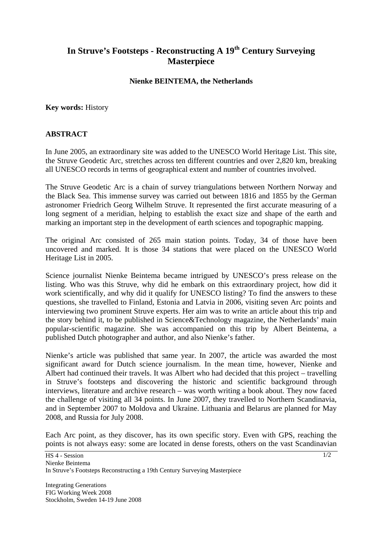## **In Struve's Footsteps - Reconstructing A 19th Century Surveying Masterpiece**

## **Nienke BEINTEMA, the Netherlands**

**Key words:** History

## **ABSTRACT**

In June 2005, an extraordinary site was added to the UNESCO World Heritage List. This site, the Struve Geodetic Arc, stretches across ten different countries and over 2,820 km, breaking all UNESCO records in terms of geographical extent and number of countries involved.

The Struve Geodetic Arc is a chain of survey triangulations between Northern Norway and the Black Sea. This immense survey was carried out between 1816 and 1855 by the German astronomer Friedrich Georg Wilhelm Struve. It represented the first accurate measuring of a long segment of a meridian, helping to establish the exact size and shape of the earth and marking an important step in the development of earth sciences and topographic mapping.

The original Arc consisted of 265 main station points. Today, 34 of those have been uncovered and marked. It is those 34 stations that were placed on the UNESCO World Heritage List in 2005.

Science journalist Nienke Beintema became intrigued by UNESCO's press release on the listing. Who was this Struve, why did he embark on this extraordinary project, how did it work scientifically, and why did it qualify for UNESCO listing? To find the answers to these questions, she travelled to Finland, Estonia and Latvia in 2006, visiting seven Arc points and interviewing two prominent Struve experts. Her aim was to write an article about this trip and the story behind it, to be published in Science&Technology magazine, the Netherlands' main popular-scientific magazine. She was accompanied on this trip by Albert Beintema, a published Dutch photographer and author, and also Nienke's father.

Nienke's article was published that same year. In 2007, the article was awarded the most significant award for Dutch science journalism. In the mean time, however, Nienke and Albert had continued their travels. It was Albert who had decided that this project – travelling in Struve's footsteps and discovering the historic and scientific background through interviews, literature and archive research – was worth writing a book about. They now faced the challenge of visiting all 34 points. In June 2007, they travelled to Northern Scandinavia, and in September 2007 to Moldova and Ukraine. Lithuania and Belarus are planned for May 2008, and Russia for July 2008.

Each Arc point, as they discover, has its own specific story. Even with GPS, reaching the points is not always easy: some are located in dense forests, others on the vast Scandinavian